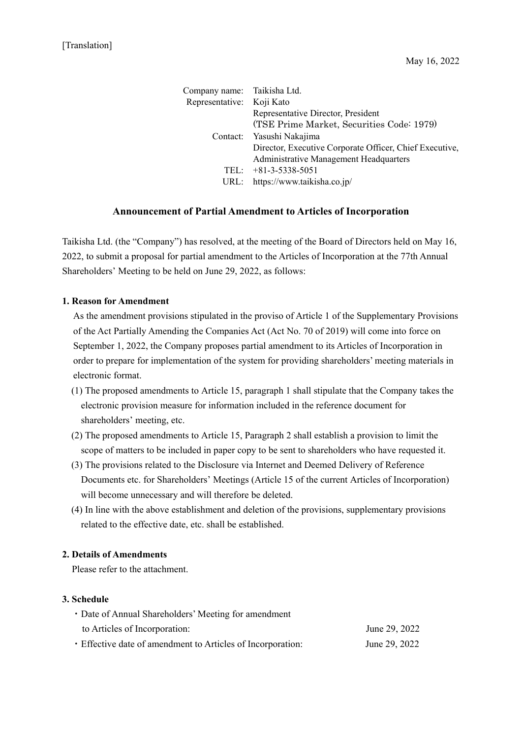| Company name:   | Taikisha Ltd.                                           |
|-----------------|---------------------------------------------------------|
| Representative: | Koji Kato                                               |
|                 | Representative Director, President                      |
|                 | (TSE Prime Market, Securities Code: 1979)               |
|                 | Contact: Yasushi Nakajima                               |
|                 | Director, Executive Corporate Officer, Chief Executive, |
|                 | Administrative Management Headquarters                  |
|                 | TEL: $+81-3-5338-5051$                                  |
|                 | URL: https://www.taikisha.co.jp/                        |

## **Announcement of Partial Amendment to Articles of Incorporation**

Taikisha Ltd. (the "Company") has resolved, at the meeting of the Board of Directors held on May 16, 2022, to submit a proposal for partial amendment to the Articles of Incorporation at the 77th Annual Shareholders' Meeting to be held on June 29, 2022, as follows:

## **1. Reason for Amendment**

As the amendment provisions stipulated in the proviso of Article 1 of the Supplementary Provisions of the Act Partially Amending the Companies Act (Act No. 70 of 2019) will come into force on September 1, 2022, the Company proposes partial amendment to its Articles of Incorporation in order to prepare for implementation of the system for providing shareholders' meeting materials in electronic format.

- (1) The proposed amendments to Article 15, paragraph 1 shall stipulate that the Company takes the electronic provision measure for information included in the reference document for shareholders' meeting, etc.
- (2) The proposed amendments to Article 15, Paragraph 2 shall establish a provision to limit the scope of matters to be included in paper copy to be sent to shareholders who have requested it.
- (3) The provisions related to the Disclosure via Internet and Deemed Delivery of Reference Documents etc. for Shareholders' Meetings (Article 15 of the current Articles of Incorporation) will become unnecessary and will therefore be deleted.
- (4) In line with the above establishment and deletion of the provisions, supplementary provisions related to the effective date, etc. shall be established.

## **2. Details of Amendments**

Please refer to the attachment.

## **3. Schedule**

| • Date of Annual Shareholders' Meeting for amendment        |               |  |
|-------------------------------------------------------------|---------------|--|
| to Articles of Incorporation:                               | June 29, 2022 |  |
| • Effective date of amendment to Articles of Incorporation: | June 29, 2022 |  |